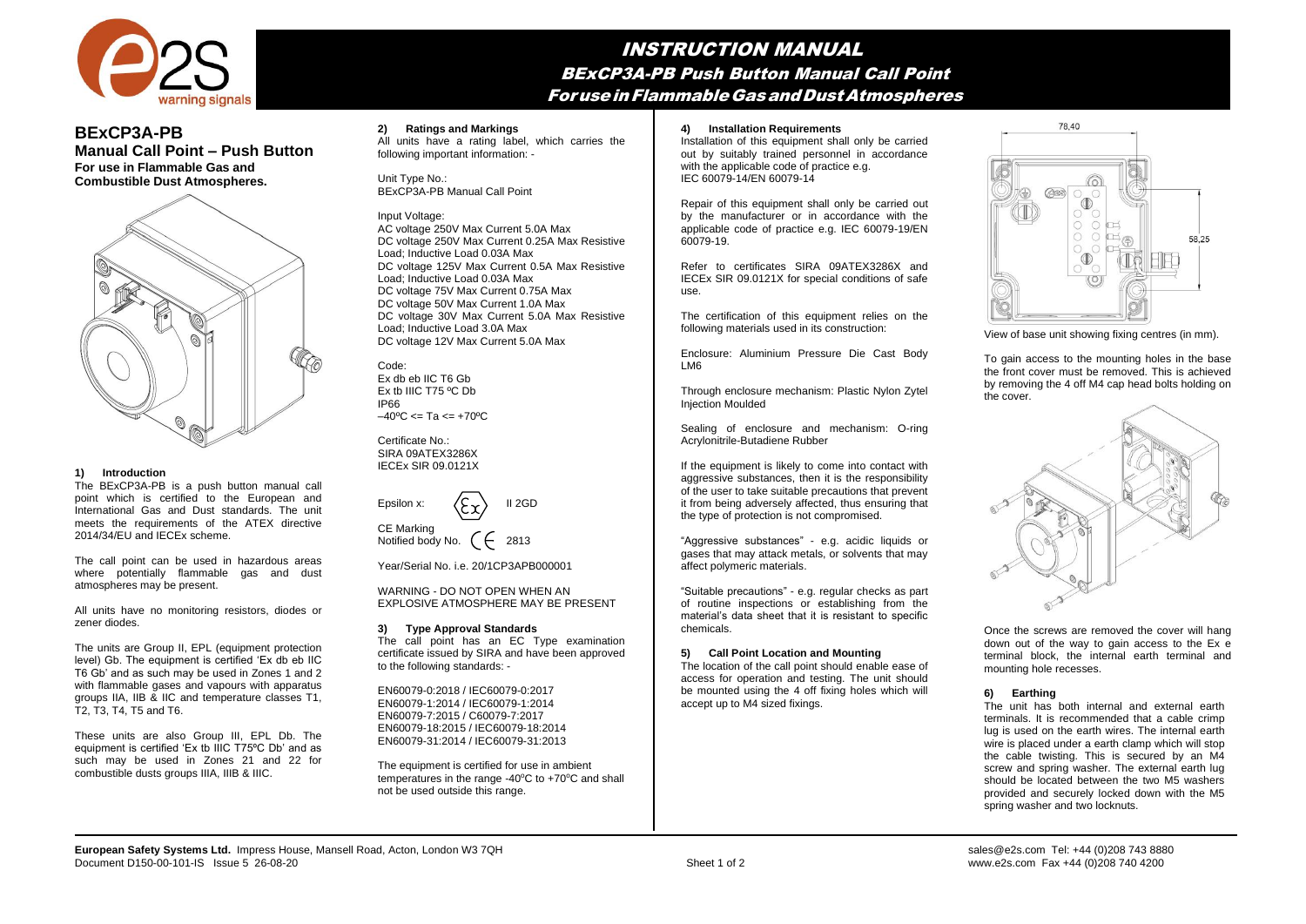

## INSTRUCTION MANUAL BExCP3A-PB Push Button Manual Call Point ForuseinFlammableGasandDustAtmospheres

# **BExCP3A-PB**

**Manual Call Point – Push Button For use in Flammable Gas and Combustible Dust Atmospheres.**



## **1) Introduction**

The BExCP3A-PB is a push button manual call point which is certified to the European and International Gas and Dust standards. The unit meets the requirements of the ATEX directive 2014/34/EU and IECEx scheme.

The call point can be used in hazardous areas where potentially flammable gas and dust atmospheres may be present.

All units have no monitoring resistors, diodes or zener diodes.

The units are Group II, EPL (equipment protection level) Gb. The equipment is certified 'Ex db eb IIC T6 Gb' and as such may be used in Zones 1 and 2 with flammable gases and vapours with apparatus groups IIA, IIB & IIC and temperature classes T1, T2, T3, T4, T5 and T6.

These units are also Group III, EPL Db. The equipment is certified 'Ex tb IIIC T75ºC Db' and as such may be used in Zones 21 and 22 for combustible dusts groups IIIA, IIIB & IIIC.

## **2) Ratings and Markings**

All units have a rating label, which carries the  $f$  and  $f$  are  $f$  and  $f$  are  $f$  and  $f$  and  $f$  and  $f$  and  $f$  is  $f$  and  $f$  is  $f$  and  $f$  is  $f$  and  $f$  is  $f$  and  $f$  is  $f$  and  $f$  is  $f$  and  $f$  is  $f$  and  $f$  is  $f$  and  $f$  is  $f$  and  $f$  is  $f$  and  $f$  and normal operation.

Unit Type No.: Unit Type No.:<br>BExCP3A-PB Manual Call Point  $\overline{D}$  is dones in a short time. We also call the short time.

## Input Voltage:

AC voltage 250V Max Current 5.0A Max DC voltage 250V Max Current 0.25A Max Resistive Load; Inductive Load 0.03A Max DC voltage 125V Max Current 0.5A Max Resistive Load; Inductive Load 0.03A Max DC voltage 75V Max Current 0.75A Max DC voltage 50V Max Current 1.0A Max DC voltage 30V Max Current 5.0A Max Resistive Load; Inductive Load 3.0A Max DC voltage 12V Max Current 5.0A Max

Code: Ex db eb IIC T6 Gb Ex tb IIIC T75 ºC Db IP66  $-40^{\circ}$ C <= Ta <=  $+70^{\circ}$ C

Certificate No.: SIRA 09ATEX3286X IECEx SIR 09.0121X

| Epsilon x: | $\langle \xi_{\mathbf{x}} \rangle$ | II 2GD |
|------------|------------------------------------|--------|
| CE Marking |                                    |        |

 $CF$ Notified body No.  $($   $\leftarrow$  2813

Year/Serial No. i.e. 20/1CP3APB000001

WARNING - DO NOT OPEN WHEN AN EXPLOSIVE ATMOSPHERE MAY BE PRESENT

## **3) Type Approval Standards**

The call point has an EC Type examination certificate issued by SIRA and have been approved to the following standards: -

EN60079-0:2018 / IEC60079-0:2017 EN60079-1:2014 / IEC60079-1:2014 EN60079-7:2015 / C60079-7:2017 EN60079-18:2015 / IEC60079-18:2014 EN60079-31:2014 / IEC60079-31:2013

The equipment is certified for use in ambient temperatures in the range -40 $^{\circ}$ C to +70 $^{\circ}$ C and shall not be used outside this range.

#### **4) Installation Requirements**

Installation of this equipment shall only be carried out by suitably trained personnel in accordance with the applicable code of practice e.g. IEC 60079-14/EN 60079-14

Repair of this equipment shall only be carried out by the manufacturer or in accordance with the applicable code of practice e.g. IEC 60079-19/EN 60079-19.

Refer to certificates SIRA 09ATEX3286X and IECEx SIR 09.0121X for special conditions of safe use.

The certification of this equipment relies on the following materials used in its construction:

Enclosure: Aluminium Pressure Die Cast Body LM6

Through enclosure mechanism: Plastic Nylon Zytel Injection Moulded

Sealing of enclosure and mechanism: O-ring Acrylonitrile-Butadiene Rubber

If the equipment is likely to come into contact with aggressive substances, then it is the responsibility of the user to take suitable precautions that prevent it from being adversely affected, thus ensuring that the type of protection is not compromised.

"Aggressive substances" - e.g. acidic liquids or gases that may attack metals, or solvents that may affect polymeric materials.

"Suitable precautions" - e.g. regular checks as part of routine inspections or establishing from the material's data sheet that it is resistant to specific chemicals.

## **5) Call Point Location and Mounting**

The location of the call point should enable ease of access for operation and testing. The unit should be mounted using the 4 off fixing holes which will accept up to M4 sized fixings.



View of base unit showing fixing centres (in mm).

To gain access to the mounting holes in the base the front cover must be removed. This is achieved by removing the 4 off M4 cap head bolts holding on the cover.



Once the screws are removed the cover will hang down out of the way to gain access to the Ex e terminal block, the internal earth terminal and mounting hole recesses.

## **6) Earthing**

The unit has both internal and external earth terminals. It is recommended that a cable crimp lug is used on the earth wires. The internal earth wire is placed under a earth clamp which will stop the cable twisting. This is secured by an M4 screw and spring washer. The external earth lug should be located between the two M5 washers provided and securely locked down with the M5 spring washer and two locknuts.